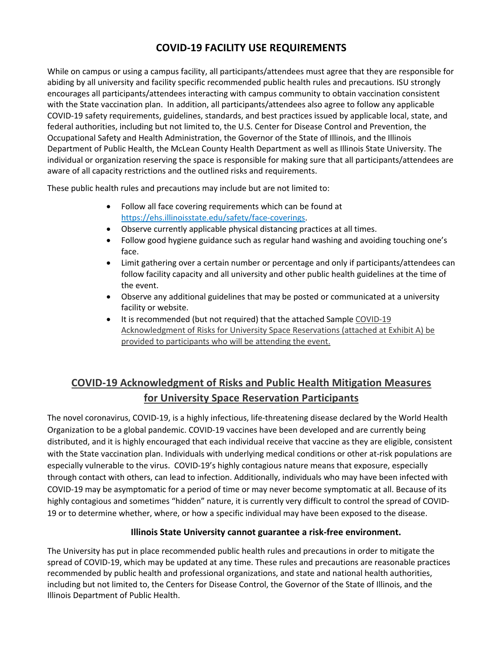## **COVID-19 FACILITY USE REQUIREMENTS**

While on campus or using a campus facility, all participants/attendees must agree that they are responsible for abiding by all university and facility specific recommended public health rules and precautions. ISU strongly encourages all participants/attendees interacting with campus community to obtain vaccination consistent with the State vaccination plan. In addition, all participants/attendees also agree to follow any applicable COVID-19 safety requirements, guidelines, standards, and best practices issued by applicable local, state, and federal authorities, including but not limited to, the U.S. Center for Disease Control and Prevention, the Occupational Safety and Health Administration, the Governor of the State of Illinois, and the Illinois Department of Public Health, the McLean County Health Department as well as Illinois State University. The individual or organization reserving the space is responsible for making sure that all participants/attendees are aware of all capacity restrictions and the outlined risks and requirements.

These public health rules and precautions may include but are not limited to:

- Follow all face covering requirements which can be found at https://ehs.illinoisstate.edu/safety/face-coverings.
- Observe currently applicable physical distancing practices at all times.
- Follow good hygiene guidance such as regular hand washing and avoiding touching one's face.
- Limit gathering over a certain number or percentage and only if participants/attendees can follow facility capacity and all university and other public health guidelines at the time of the event.
- Observe any additional guidelines that may be posted or communicated at a university facility or website.
- It is recommended (but not required) that the attached Sample COVID-19 Acknowledgment of Risks for University Space Reservations (attached at Exhibit A) be provided to participants who will be attending the event.

## **COVID-19 Acknowledgment of Risks and Public Health Mitigation Measures for University Space Reservation Participants**

The novel coronavirus, COVID-19, is a highly infectious, life-threatening disease declared by the World Health Organization to be a global pandemic. COVID-19 vaccines have been developed and are currently being distributed, and it is highly encouraged that each individual receive that vaccine as they are eligible, consistent with the State vaccination plan. Individuals with underlying medical conditions or other at-risk populations are especially vulnerable to the virus. COVID-19's highly contagious nature means that exposure, especially through contact with others, can lead to infection. Additionally, individuals who may have been infected with COVID-19 may be asymptomatic for a period of time or may never become symptomatic at all. Because of its highly contagious and sometimes "hidden" nature, it is currently very difficult to control the spread of COVID-19 or to determine whether, where, or how a specific individual may have been exposed to the disease.

## **Illinois State University cannot guarantee a risk-free environment.**

The University has put in place recommended public health rules and precautions in order to mitigate the spread of COVID-19, which may be updated at any time. These rules and precautions are reasonable practices recommended by public health and professional organizations, and state and national health authorities, including but not limited to, the Centers for Disease Control, the Governor of the State of Illinois, and the Illinois Department of Public Health.